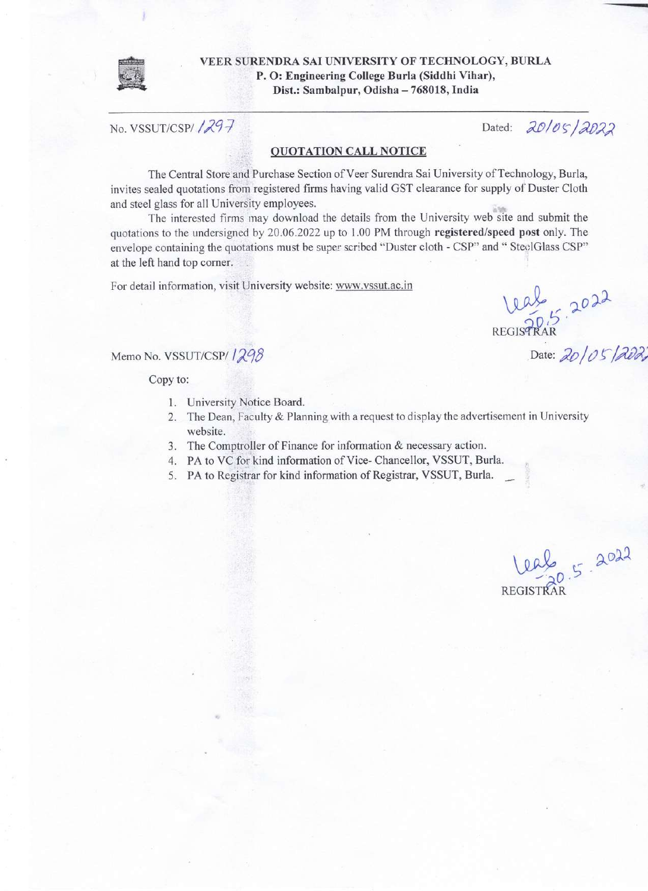

VEER SURENDRA SAI UNIVERSITY OF TECHNOLOGY, BURLA P. O: Engineering College Burla (Siddhi Vihar), Dist.: Sambalpur, Odisha - 768018, India

No. VSSUT/CSPI 1297

Dated: 20/05/2022

## **QUOTATION CALL NOTICE**

The Central Store and Purchase Section of Veer Surendra Sai University of Technology, Burla, invites sealed quotations from registered firms having valid GST clearance for supply of Duster Cloth and steel glass for all University employees.

The interested firms may download the details from the University web site and submit the quotations to the undersigned by 20.06.2022 up to 1.00 PM through registered/speed post only. The envelope containing the quotations must be super scribed "Duster cloth - CSP" and " SteelGlass CSP" at the left hand top corner.

For detail information, visit University website: www.vssut.ac.in

REGISTRAR 2022

Date: 20/05/2022

Memo No. VSSUT/CSP/1298

Copy to:

- 1. University Notice Board.
- 2. The Dean, Faculty & Planning with a request to display the advertisement in University website.
- 3. The Comptroller of Finance for information & necessary action.
- 4. PA to VC for kind information of Vice-Chancellor, VSSUT, Burla.
- 5. PA to Registrar for kind information of Registrar, VSSUT, Burla.

 $0.5 - 2022$ **REGISTRAR**